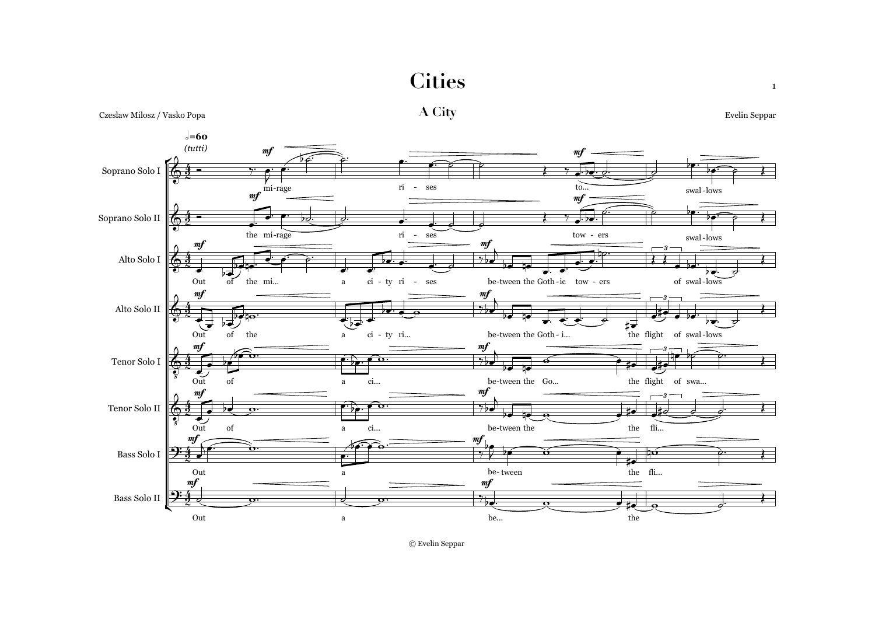**Cities**



Czeslaw Milosz / Vasko Popa **A City** Evelin Seppar

© Evelin Seppar

1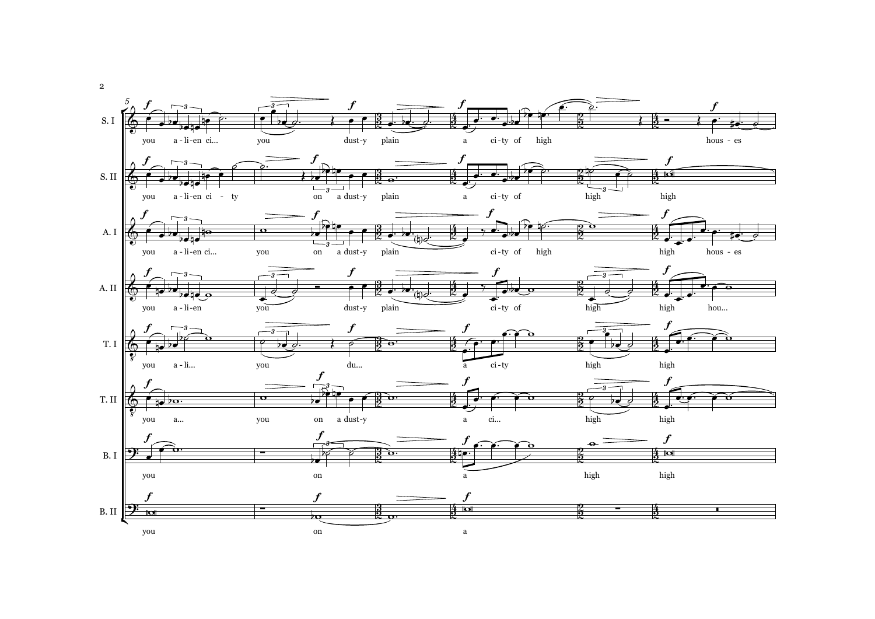

2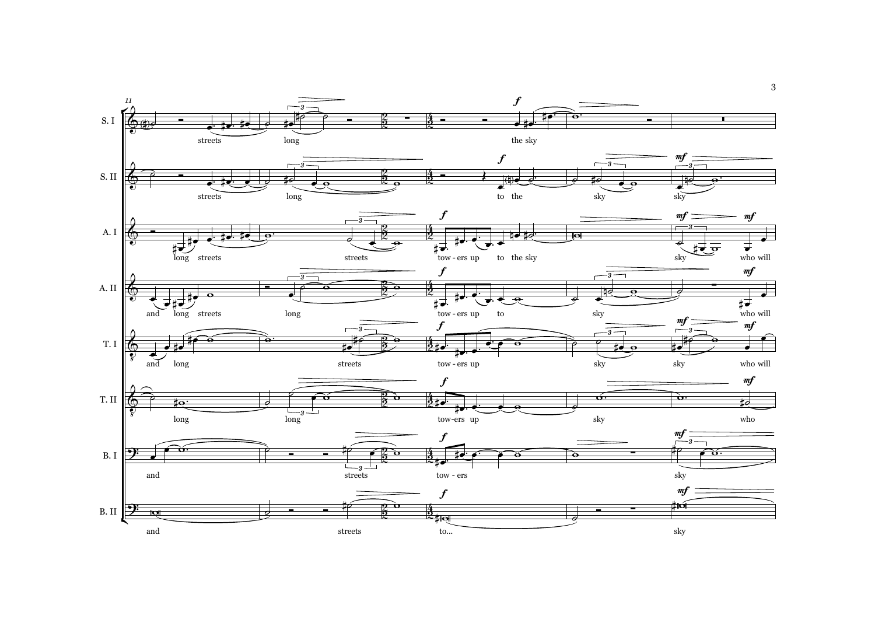

3